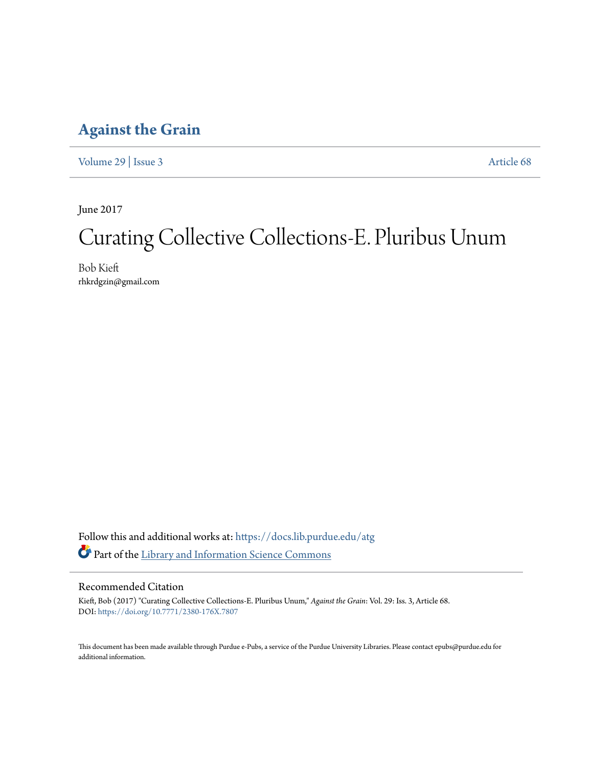### **[Against the Grain](https://docs.lib.purdue.edu/atg?utm_source=docs.lib.purdue.edu%2Fatg%2Fvol29%2Fiss3%2F68&utm_medium=PDF&utm_campaign=PDFCoverPages)**

[Volume 29](https://docs.lib.purdue.edu/atg/vol29?utm_source=docs.lib.purdue.edu%2Fatg%2Fvol29%2Fiss3%2F68&utm_medium=PDF&utm_campaign=PDFCoverPages) | [Issue 3](https://docs.lib.purdue.edu/atg/vol29/iss3?utm_source=docs.lib.purdue.edu%2Fatg%2Fvol29%2Fiss3%2F68&utm_medium=PDF&utm_campaign=PDFCoverPages) [Article 68](https://docs.lib.purdue.edu/atg/vol29/iss3/68?utm_source=docs.lib.purdue.edu%2Fatg%2Fvol29%2Fiss3%2F68&utm_medium=PDF&utm_campaign=PDFCoverPages)

June 2017

# Curating Collective Collections-E. Pluribus Unum

Bob Kieft rhkrdgzin@gmail.com

Follow this and additional works at: [https://docs.lib.purdue.edu/atg](https://docs.lib.purdue.edu/atg?utm_source=docs.lib.purdue.edu%2Fatg%2Fvol29%2Fiss3%2F68&utm_medium=PDF&utm_campaign=PDFCoverPages) Part of the [Library and Information Science Commons](http://network.bepress.com/hgg/discipline/1018?utm_source=docs.lib.purdue.edu%2Fatg%2Fvol29%2Fiss3%2F68&utm_medium=PDF&utm_campaign=PDFCoverPages)

### Recommended Citation

Kieft, Bob (2017) "Curating Collective Collections-E. Pluribus Unum," *Against the Grain*: Vol. 29: Iss. 3, Article 68. DOI: <https://doi.org/10.7771/2380-176X.7807>

This document has been made available through Purdue e-Pubs, a service of the Purdue University Libraries. Please contact epubs@purdue.edu for additional information.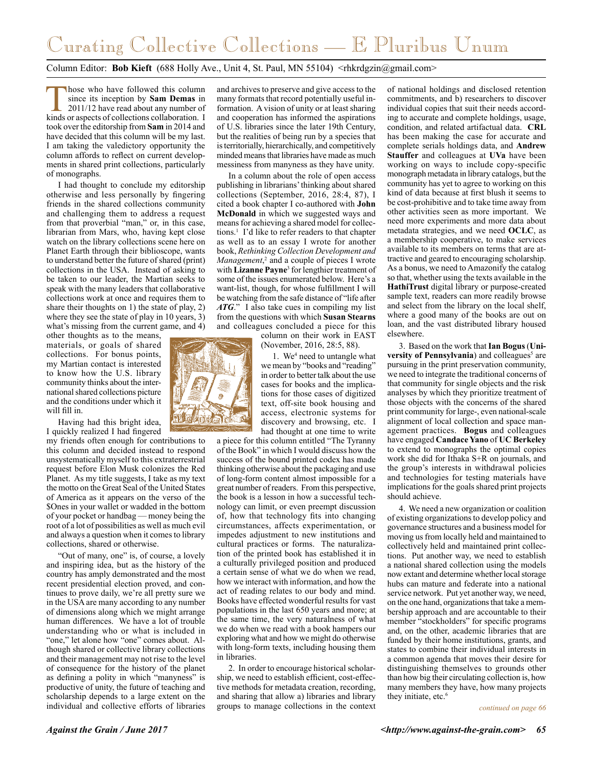## Curating Collective Collections — E Pluribus Unum

#### Column Editor: **Bob Kieft** (688 Holly Ave., Unit 4, St. Paul, MN 55104) <rhkrdgzin@gmail.com>

hose who have followed this column since its inception by **Sam Demas** in 2011/12 have read about any number of kinds or aspects of collections collaboration. I took over the editorship from **Sam** in 2014 and have decided that this column will be my last. I am taking the valedictory opportunity the column affords to reflect on current developments in shared print collections, particularly of monographs.

I had thought to conclude my editorship otherwise and less personally by fingering friends in the shared collections community and challenging them to address a request from that proverbial "man," or, in this case, librarian from Mars, who, having kept close watch on the library collections scene here on Planet Earth through their biblioscope, wants to understand better the future of shared (print) collections in the USA. Instead of asking to be taken to our leader, the Martian seeks to speak with the many leaders that collaborative collections work at once and requires them to share their thoughts on 1) the state of play, 2) where they see the state of play in 10 years, 3) what's missing from the current game, and 4)

other thoughts as to the means, materials, or goals of shared collections. For bonus points, my Martian contact is interested to know how the U.S. library community thinks about the international shared collections picture and the conditions under which it will fill in.

Having had this bright idea, I quickly realized I had fingered

my friends often enough for contributions to this column and decided instead to respond unsystematically myself to this extraterrestrial request before Elon Musk colonizes the Red Planet. As my title suggests, I take as my text the motto on the Great Seal of the United States of America as it appears on the verso of the \$Ones in your wallet or wadded in the bottom of your pocket or handbag — money being the root of a lot of possibilities as well as much evil and always a question when it comes to library collections, shared or otherwise.

"Out of many, one" is, of course, a lovely and inspiring idea, but as the history of the country has amply demonstrated and the most recent presidential election proved, and continues to prove daily, we're all pretty sure we in the USA are many according to any number of dimensions along which we might arrange human differences. We have a lot of trouble understanding who or what is included in "one," let alone how "one" comes about. Although shared or collective library collections and their management may not rise to the level of consequence for the history of the planet as defining a polity in which "manyness" is productive of unity, the future of teaching and scholarship depends to a large extent on the individual and collective efforts of libraries

and archives to preserve and give access to the many formats that record potentially useful information. A vision of unity or at least sharing and cooperation has informed the aspirations of U.S. libraries since the later 19th Century, but the realities of being run by a species that is territorially, hierarchically, and competitively minded means that libraries have made as much messiness from manyness as they have unity.

In a column about the role of open access publishing in librarians' thinking about shared collections (September, 2016, 28:4, 87), I cited a book chapter I co-authored with **John McDonald** in which we suggested ways and means for achieving a shared model for collections.1 I'd like to refer readers to that chapter as well as to an essay I wrote for another book, *Rethinking Collection Development and Management*,<sup>2</sup> and a couple of pieces I wrote with **Lizanne Payne**<sup>3</sup> for lengthier treatment of some of the issues enumerated below. Here's a want-list, though, for whose fulfillment I will be watching from the safe distance of "life after *ATG*." I also take cues in compiling my list from the questions with which **Susan Stearns** and colleagues concluded a piece for this

column on their work in EAST (November, 2016, 28:5, 88).

1. We4 need to untangle what we mean by "books and "reading" in order to better talk about the use cases for books and the implications for those cases of digitized text, off-site book housing and access, electronic systems for discovery and browsing, etc. I had thought at one time to write

a piece for this column entitled "The Tyranny of the Book" in which I would discuss how the success of the bound printed codex has made thinking otherwise about the packaging and use of long-form content almost impossible for a great number of readers. From this perspective, the book is a lesson in how a successful technology can limit, or even preempt discussion of, how that technology fits into changing circumstances, affects experimentation, or impedes adjustment to new institutions and cultural practices or forms. The naturalization of the printed book has established it in a culturally privileged position and produced a certain sense of what we do when we read, how we interact with information, and how the act of reading relates to our body and mind. Books have effected wonderful results for vast populations in the last 650 years and more; at the same time, the very naturalness of what we do when we read with a book hampers our exploring what and how we might do otherwise with long-form texts, including housing them in libraries.

2. In order to encourage historical scholarship, we need to establish efficient, cost-effective methods for metadata creation, recording, and sharing that allow a) libraries and library groups to manage collections in the context

of national holdings and disclosed retention commitments, and b) researchers to discover individual copies that suit their needs according to accurate and complete holdings, usage, condition, and related artifactual data. **CRL** has been making the case for accurate and complete serials holdings data, and **Andrew Stauffer** and colleagues at **UVa** have been working on ways to include copy-specific monograph metadata in library catalogs, but the community has yet to agree to working on this kind of data because at first blush it seems to be cost-prohibitive and to take time away from other activities seen as more important. We need more experiments and more data about metadata strategies, and we need **OCLC**, as a membership cooperative, to make services available to its members on terms that are attractive and geared to encouraging scholarship. As a bonus, we need to Amazonify the catalog so that, whether using the texts available in the **HathiTrust** digital library or purpose-created sample text, readers can more readily browse and select from the library on the local shelf, where a good many of the books are out on loan, and the vast distributed library housed elsewhere.

3. Based on the work that **Ian Bogus** (**Uni**versity of Pennsylvania) and colleagues<sup>5</sup> are pursuing in the print preservation community, we need to integrate the traditional concerns of that community for single objects and the risk analyses by which they prioritize treatment of those objects with the concerns of the shared print community for large-, even national-scale alignment of local collection and space management practices. **Bogus** and colleagues have engaged **Candace Yano** of **UC Berkeley** to extend to monographs the optimal copies work she did for Ithaka S+R on journals, and the group's interests in withdrawal policies and technologies for testing materials have implications for the goals shared print projects should achieve.

4. We need a new organization or coalition of existing organizations to develop policy and governance structures and a business model for moving us from locally held and maintained to collectively held and maintained print collections. Put another way, we need to establish a national shared collection using the models now extant and determine whether local storage hubs can mature and federate into a national service network. Put yet another way, we need, on the one hand, organizations that take a membership approach and are accountable to their member "stockholders" for specific programs and, on the other, academic libraries that are funded by their home institutions, grants, and states to combine their individual interests in a common agenda that moves their desire for distinguishing themselves to grounds other than how big their circulating collection is, how many members they have, how many projects they initiate, etc.<sup>6</sup>

*continued on page 66*